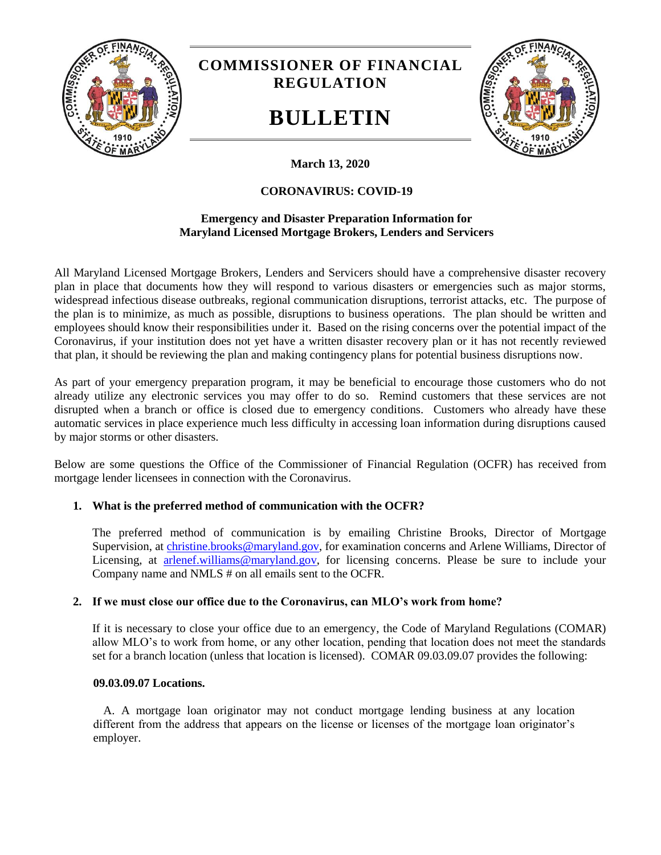

# **COMMISSIONER OF FINANCIAL REGULATION**

# **BULLETIN**



# **March 13, 2020**

## **CORONAVIRUS: COVID-19**

### **Emergency and Disaster Preparation Information for Maryland Licensed Mortgage Brokers, Lenders and Servicers**

All Maryland Licensed Mortgage Brokers, Lenders and Servicers should have a comprehensive disaster recovery plan in place that documents how they will respond to various disasters or emergencies such as major storms, widespread infectious disease outbreaks, regional communication disruptions, terrorist attacks, etc. The purpose of the plan is to minimize, as much as possible, disruptions to business operations. The plan should be written and employees should know their responsibilities under it. Based on the rising concerns over the potential impact of the Coronavirus, if your institution does not yet have a written disaster recovery plan or it has not recently reviewed that plan, it should be reviewing the plan and making contingency plans for potential business disruptions now.

As part of your emergency preparation program, it may be beneficial to encourage those customers who do not already utilize any electronic services you may offer to do so. Remind customers that these services are not disrupted when a branch or office is closed due to emergency conditions. Customers who already have these automatic services in place experience much less difficulty in accessing loan information during disruptions caused by major storms or other disasters.

Below are some questions the Office of the Commissioner of Financial Regulation (OCFR) has received from mortgage lender licensees in connection with the Coronavirus.

### **1. What is the preferred method of communication with the OCFR?**

The preferred method of communication is by emailing Christine Brooks, Director of Mortgage Supervision, at [christine.brooks@maryland.gov,](mailto:christine.brooks@maryland.gov) for examination concerns and Arlene Williams, Director of Licensing, at [arlenef.williams@maryland.gov,](mailto:arlenef.williams@maryland.gov) for licensing concerns. Please be sure to include your Company name and NMLS # on all emails sent to the OCFR.

#### **2. If we must close our office due to the Coronavirus, can MLO's work from home?**

If it is necessary to close your office due to an emergency, the Code of Maryland Regulations (COMAR) allow MLO's to work from home, or any other location, pending that location does not meet the standards set for a branch location (unless that location is licensed). COMAR 09.03.09.07 provides the following:

#### **09.03.09.07 Locations.**

A. A mortgage loan originator may not conduct mortgage lending business at any location different from the address that appears on the license or licenses of the mortgage loan originator's employer.